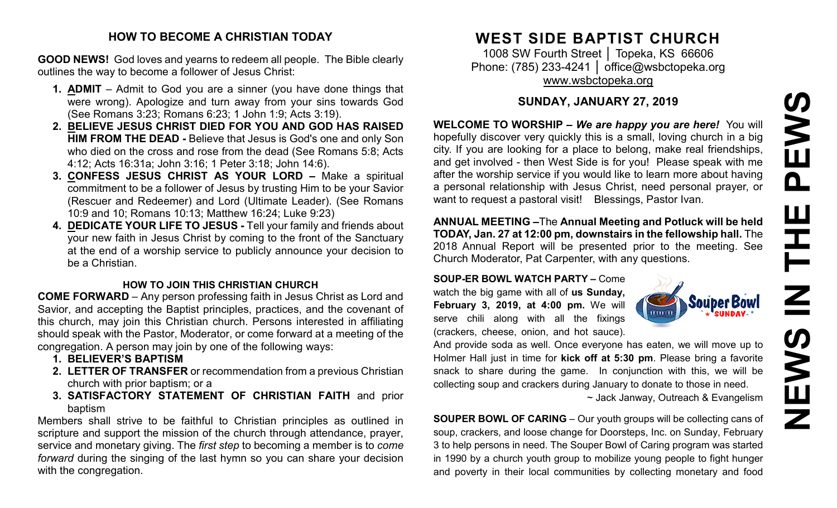# PEWS **NEWS IN THE PEWS**Ш ᅩ  $\mathbf{Z}$ EWS Z

#### **HOW TO BECOME A CHRISTIAN TODAY**

**GOOD NEWS!** God loves and yearns to redeem all people. The Bible clearly outlines the way to become a follower of Jesus Christ:

- **1. ADMIT** Admit to God you are a sinner (you have done things that were wrong). Apologize and turn away from your sins towards God (See Romans 3:23; Romans 6:23; 1 John 1:9; Acts 3:19).
- **2. BELIEVE JESUS CHRIST DIED FOR YOU AND GOD HAS RAISED HIM FROM THE DEAD -** Believe that Jesus is God's one and only Son who died on the cross and rose from the dead (See Romans 5:8; Acts 4:12; Acts 16:31a; John 3:16; 1 Peter 3:18; John 14:6).
- **3. CONFESS JESUS CHRIST AS YOUR LORD –** Make a spiritual commitment to be a follower of Jesus by trusting Him to be your Savior (Rescuer and Redeemer) and Lord (Ultimate Leader). (See Romans 10:9 and 10; Romans 10:13; Matthew 16:24; Luke 9:23)
- **4. DEDICATE YOUR LIFE TO JESUS -** Tell your family and friends about your new faith in Jesus Christ by coming to the front of the Sanctuary at the end of a worship service to publicly announce your decision to be a Christian.

#### **HOW TO JOIN THIS CHRISTIAN CHURCH**

**COME FORWARD** – Any person professing faith in Jesus Christ as Lord and Savior, and accepting the Baptist principles, practices, and the covenant of this church, may join this Christian church. Persons interested in affiliating should speak with the Pastor, Moderator, or come forward at a meeting of the congregation. A person may join by one of the following ways:

- **1. BELIEVER'S BAPTISM**
- **2. LETTER OF TRANSFER** or recommendation from a previous Christian church with prior baptism; or a
- **3. SATISFACTORY STATEMENT OF CHRISTIAN FAITH** and prior baptism

Members shall strive to be faithful to Christian principles as outlined in scripture and support the mission of the church through attendance, prayer, service and monetary giving. The *first step* to becoming a member is to *come forward* during the singing of the last hymn so you can share your decision with the congregation.

# **WEST SIDE BAPTIST CHURCH**

1008 SW Fourth Street | Topeka, KS 66606 Phone: (785) 233-4241 │ [office@wsbctopeka.org](mailto:office@wsbctopeka.org) [www.wsbctopeka.org](http://www.wsbctopeka.org/)

# **SUNDAY, JANUARY 27, 2019**

**WELCOME TO WORSHIP –** *We are happy you are here!* You will hopefully discover very quickly this is a small, loving church in a big city. If you are looking for a place to belong, make real friendships, and get involved - then West Side is for you! Please speak with me after the worship service if you would like to learn more about having a personal relationship with Jesus Christ, need personal prayer, or want to request a pastoral visit! Blessings, Pastor Ivan.

**ANNUAL MEETING –**The **Annual Meeting and Potluck will be held TODAY, Jan. 27 at 12:00 pm, downstairs in the fellowship hall.** The 2018 Annual Report will be presented prior to the meeting. See Church Moderator, Pat Carpenter, with any questions.

**SOUP-ER BOWL WATCH PARTY –** Come watch the big game with all of **us Sunday, February 3, 2019, at 4:00 pm.** We will serve chili along with all the fixings (crackers, cheese, onion, and hot sauce).



And provide soda as well. Once everyone has eaten, we will move up to Holmer Hall just in time for **kick off at 5:30 pm**. Please bring a favorite snack to share during the game. In conjunction with this, we will be collecting soup and crackers during January to donate to those in need. ~ Jack Janway, Outreach & Evangelism

**SOUPER BOWL OF CARING** – Our youth groups will be collecting cans of soup, crackers, and loose change for Doorsteps, Inc. on Sunday, February 3 to help persons in need. The Souper Bowl of Caring program was started in 1990 by a church youth group to mobilize young people to fight hunger and poverty in their local communities by collecting monetary and food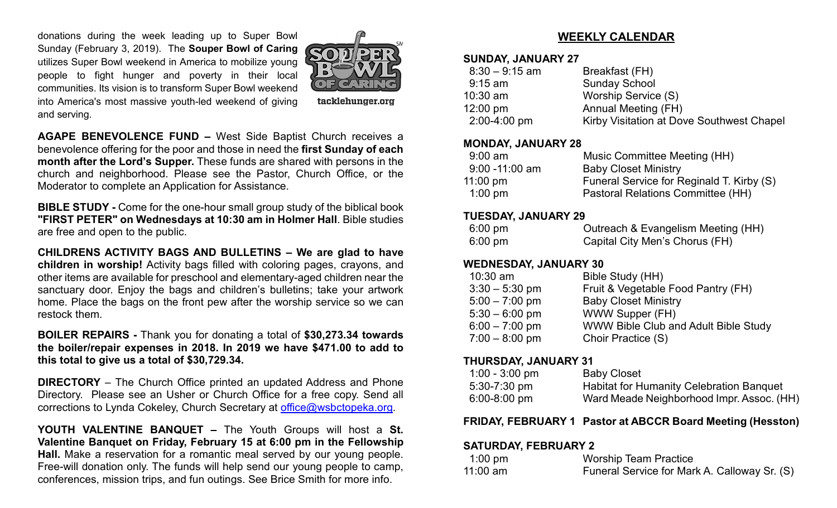donations during the week leading up to Super Bowl Sunday (February 3, 2019). The **Souper Bowl of Caring** utilizes Super Bowl weekend in America to mobilize young people to fight hunger and poverty in their local communities. Its vision is to transform Super Bowl weekend into America's most massive youth-led weekend of giving and serving.



tacklehunger.org

**AGAPE BENEVOLENCE FUND –** West Side Baptist Church receives a benevolence offering for the poor and those in need the **first Sunday of each month after the Lord's Supper.** These funds are shared with persons in the church and neighborhood. Please see the Pastor, Church Office, or the Moderator to complete an Application for Assistance.

**BIBLE STUDY -** Come for the one-hour small group study of the biblical book **"FIRST PETER" on Wednesdays at 10:30 am in Holmer Hall**. Bible studies are free and open to the public.

**CHILDRENS ACTIVITY BAGS AND BULLETINS – We are glad to have children in worship!** Activity bags filled with coloring pages, crayons, and other items are available for preschool and elementary-aged children near the sanctuary door. Enjoy the bags and children's bulletins; take your artwork home. Place the bags on the front pew after the worship service so we can restock them.

**BOILER REPAIRS -** Thank you for donating a total of **\$30,273.34 towards the boiler/repair expenses in 2018. In 2019 we have \$471.00 to add to this total to give us a total of \$30,729.34.** 

**DIRECTORY** – The Church Office printed an updated Address and Phone Directory. Please see an Usher or Church Office for a free copy. Send all corrections to Lynda Cokeley, Church Secretary at [office@wsbctopeka.org.](mailto:office@wsbctopeka.org)

**YOUTH VALENTINE BANQUET –** The Youth Groups will host a **St. Valentine Banquet on Friday, February 15 at 6:00 pm in the Fellowship Hall.** Make a reservation for a romantic meal served by our young people. Free-will donation only. The funds will help send our young people to camp, conferences, mission trips, and fun outings. See Brice Smith for more info.

#### **WEEKLY CALENDAR**

#### **SUNDAY, JANUARY 27**

| $8:30 - 9:15$ am   | Breakfast (FH)                            |
|--------------------|-------------------------------------------|
| $9:15$ am          | <b>Sunday School</b>                      |
| $10:30$ am         | Worship Service (S)                       |
| $12:00 \text{ pm}$ | <b>Annual Meeting (FH)</b>                |
| $2:00-4:00$ pm     | Kirby Visitation at Dove Southwest Chapel |
|                    |                                           |

#### **MONDAY, JANUARY 28**

| Music Committee Meeting (HH)              |
|-------------------------------------------|
| <b>Baby Closet Ministry</b>               |
| Funeral Service for Reginald T. Kirby (S) |
| Pastoral Relations Committee (HH)         |
|                                           |

#### **TUESDAY, JANUARY 29**

| $6:00 \text{ pm}$ | Outreach & Evangelism Meeting (HH) |
|-------------------|------------------------------------|
| $6:00 \text{ pm}$ | Capital City Men's Chorus (FH)     |

#### **WEDNESDAY, JANUARY 30**

| $10:30$ am       | Bible Study (HH)                     |
|------------------|--------------------------------------|
| $3:30 - 5:30$ pm | Fruit & Vegetable Food Pantry (FH)   |
| $5:00 - 7:00$ pm | <b>Baby Closet Ministry</b>          |
| $5:30 - 6:00$ pm | WWW Supper (FH)                      |
| $6:00 - 7:00$ pm | WWW Bible Club and Adult Bible Study |
| $7:00 - 8:00$ pm | Choir Practice (S)                   |
|                  |                                      |

#### **THURSDAY, JANUARY 31**

| $1:00 - 3:00$ pm | <b>Baby Closet</b>                              |
|------------------|-------------------------------------------------|
| $5:30 - 7:30$ pm | <b>Habitat for Humanity Celebration Banquet</b> |
| $6:00 - 8:00$ pm | Ward Meade Neighborhood Impr. Assoc. (HH)       |

#### **FRIDAY, FEBRUARY 1 Pastor at ABCCR Board Meeting (Hesston)**

#### **SATURDAY, FEBRUARY 2**

| 1:00 pm  | <b>Worship Team Practice</b>                 |
|----------|----------------------------------------------|
| 11:00 am | Funeral Service for Mark A. Calloway Sr. (S) |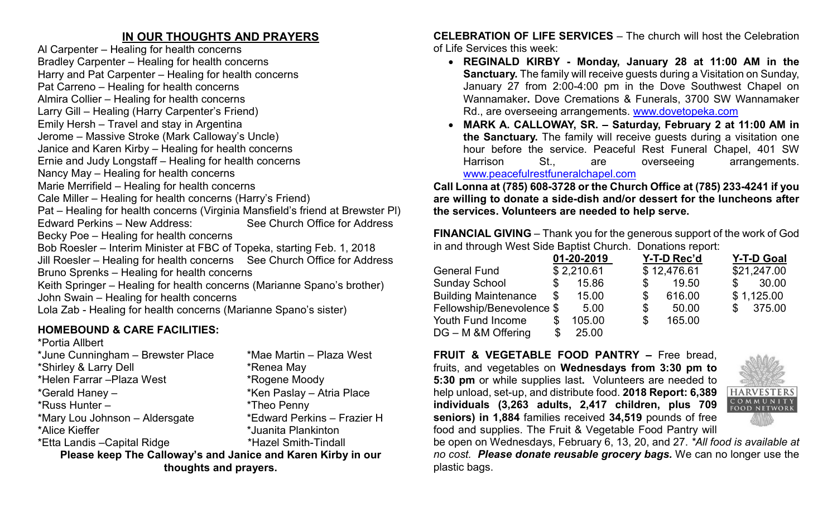### **IN OUR THOUGHTS AND PRAYERS**

Al Carpenter – Healing for health concerns Bradley Carpenter – Healing for health concerns Harry and Pat Carpenter – Healing for health concerns Pat Carreno – Healing for health concerns Almira Collier – Healing for health concerns Larry Gill – Healing (Harry Carpenter's Friend) Emily Hersh – Travel and stay in Argentina Jerome – Massive Stroke (Mark Calloway's Uncle) Janice and Karen Kirby – Healing for health concerns Ernie and Judy Longstaff – Healing for health concerns Nancy May – Healing for health concerns Marie Merrifield – Healing for health concerns Cale Miller – Healing for health concerns (Harry's Friend) Pat – Healing for health concerns (Virginia Mansfield's friend at Brewster Pl) Edward Perkins – New Address: See Church Office for Address Becky Poe – Healing for health concerns Bob Roesler – Interim Minister at FBC of Topeka, starting Feb. 1, 2018 Jill Roesler – Healing for health concerns See Church Office for Address Bruno Sprenks – Healing for health concerns Keith Springer – Healing for health concerns (Marianne Spano's brother) John Swain – Healing for health concerns Lola Zab - Healing for health concerns (Marianne Spano's sister)

## **HOMEBOUND & CARE FACILITIES:**

| *Portia Allbert                                              |                             |  |  |  |  |  |  |  |
|--------------------------------------------------------------|-----------------------------|--|--|--|--|--|--|--|
| *June Cunningham - Brewster Place                            | *Mae Martin – Plaza West    |  |  |  |  |  |  |  |
| *Shirley & Larry Dell                                        | *Renea May                  |  |  |  |  |  |  |  |
| *Helen Farrar - Plaza West                                   | *Rogene Moody               |  |  |  |  |  |  |  |
| *Gerald Haney -                                              | *Ken Paslay - Atria Place   |  |  |  |  |  |  |  |
| *Russ Hunter -                                               | *Theo Penny                 |  |  |  |  |  |  |  |
| *Mary Lou Johnson - Aldersgate                               | *Edward Perkins - Frazier H |  |  |  |  |  |  |  |
| *Alice Kieffer                                               | *Juanita Plankinton         |  |  |  |  |  |  |  |
| *Etta Landis - Capital Ridge                                 | *Hazel Smith-Tindall        |  |  |  |  |  |  |  |
| Please keep The Calloway's and Janice and Karen Kirby in our |                             |  |  |  |  |  |  |  |
| thoughts and prayers.                                        |                             |  |  |  |  |  |  |  |

**CELEBRATION OF LIFE SERVICES** – The church will host the Celebration of Life Services this week:

- **REGINALD KIRBY - Monday, January 28 at 11:00 AM in the Sanctuary.** The family will receive guests during a Visitation on Sunday, January 27 from 2:00-4:00 pm in the Dove Southwest Chapel on Wannamaker**.** Dove Cremations & Funerals, 3700 SW Wannamaker Rd., are overseeing arrangements. [www.dovetopeka.com](http://www.dovetopeka.com/)
- **MARK A. CALLOWAY, SR. – Saturday, February 2 at 11:00 AM in the Sanctuary.** The family will receive guests during a visitation one hour before the service. Peaceful Rest Funeral Chapel, 401 SW Harrison St., are overseeing arrangements. [www.peacefulrestfuneralchapel.com](http://www.peacefulrestfuneralchapel.com/)

**Call Lonna at (785) 608-3728 or the Church Office at (785) 233-4241 if you are willing to donate a side-dish and/or dessert for the luncheons after the services. Volunteers are needed to help serve.** 

**FINANCIAL GIVING** – Thank you for the generous support of the work of God in and through West Side Baptist Church. Donations report:

|                             | 01-20-2019   |    | Y-T-D Rec'd | <b>Y-T-D Goal</b> |
|-----------------------------|--------------|----|-------------|-------------------|
| <b>General Fund</b>         | \$2,210.61   |    | \$12,476.61 | \$21,247.00       |
| <b>Sunday School</b>        | \$<br>15.86  | S  | 19.50       | \$<br>30.00       |
| <b>Building Maintenance</b> | \$<br>15.00  | S  | 616.00      | \$1,125.00        |
| Fellowship/Benevolence \$   | 5.00         | \$ | 50.00       | \$375.00          |
| Youth Fund Income           | \$<br>105.00 | \$ | 165.00      |                   |
| DG - M & M Offering         | \$<br>25.00  |    |             |                   |

**FRUIT & VEGETABLE FOOD PANTRY –** Free bread, fruits, and vegetables on **Wednesdays from 3:30 pm to 5:30 pm** or while supplies last**.** Volunteers are needed to help unload, set-up, and distribute food. **2018 Report: 6,389 individuals (3,263 adults, 2,417 children, plus 709 seniors) in 1,884** families received **34,519** pounds of free food and supplies. The Fruit & Vegetable Food Pantry will



be open on Wednesdays, February 6, 13, 20, and 27. *\*All food is available at no cost. Please donate reusable grocery bags.* We can no longer use the plastic bags.